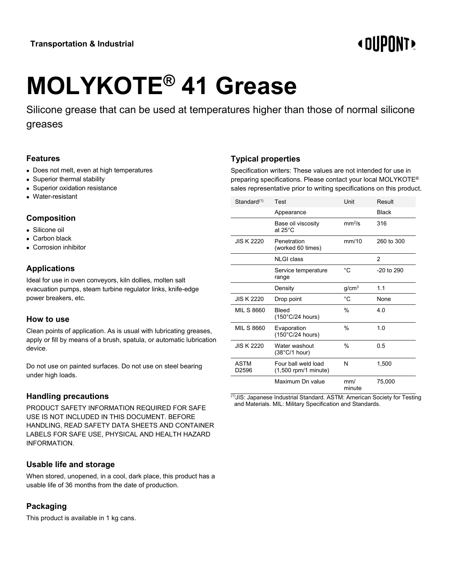# **«OUPONT»**

# **MOLYKOTE® 41 Grease**

Silicone grease that can be used at temperatures higher than those of normal silicone greases

#### **Features**

- Does not melt, even at high temperatures
- Superior thermal stability
- Superior oxidation resistance
- Water-resistant

#### **Composition**

- Silicone oil
- Carbon black
- Corrosion inhibitor

# **Applications**

Ideal for use in oven conveyors, kiln dollies, molten salt evacuation pumps, steam turbine regulator links, knife-edge power breakers, etc.

#### **How to use**

Clean points of application. As is usual with lubricating greases, apply or fill by means of a brush, spatula, or automatic lubrication device.

Do not use on painted surfaces. Do not use on steel bearing under high loads.

# **Handling precautions**

PRODUCT SAFETY INFORMATION REQUIRED FOR SAFE USE IS NOT INCLUDED IN THIS DOCUMENT. BEFORE HANDLING, READ SAFETY DATA SHEETS AND CONTAINER LABELS FOR SAFE USE, PHYSICAL AND HEALTH HAZARD INFORMATION.

# **Usable life and storage**

When stored, unopened, in a cool, dark place, this product has a usable life of 36 months from the date of production.

# **Packaging**

This product is available in 1 kg cans.

# **Typical properties**

Specification writers: These values are not intended for use in preparing specifications. Please contact your local MOLYKOTE® sales representative prior to writing specifications on this product.

| Standard(1)                      | Test                                          | Unit               | Result         |
|----------------------------------|-----------------------------------------------|--------------------|----------------|
|                                  | Appearance                                    |                    | <b>Black</b>   |
|                                  | Base oil viscosity<br>at $25^{\circ}$ C       | mm <sup>2</sup> /s | 316            |
| JIS K 2220                       | Penetration<br>(worked 60 times)              | mm/10              | 260 to 300     |
|                                  | <b>NLGI</b> class                             |                    | $\mathfrak{p}$ |
|                                  | Service temperature<br>range                  | °C                 | $-20$ to $290$ |
|                                  | Density                                       | g/cm <sup>3</sup>  | 1.1            |
|                                  |                                               |                    |                |
| <b>JIS K 2220</b>                | Drop point                                    | °C                 | None           |
| <b>MIL S 8660</b>                | <b>Bleed</b><br>$(150^{\circ}C/24$ hours)     | %                  | 4 O            |
| <b>MIL S 8660</b>                | Evaporation<br>$(150^{\circ}C/24$ hours)      | %                  | 1.0            |
| <b>JIS K 2220</b>                | Water washout<br>$(38^{\circ}C/1$ hour)       | $\frac{0}{0}$      | 0.5            |
| <b>ASTM</b><br>D <sub>2596</sub> | Four ball weld load<br>$(1,500$ rpm/1 minute) | N                  | 1,500          |

 $(1)$ JIS: Japanese Industrial Standard, ASTM: American Society for Testing and Materials. MIL: Military Specification and Standards.